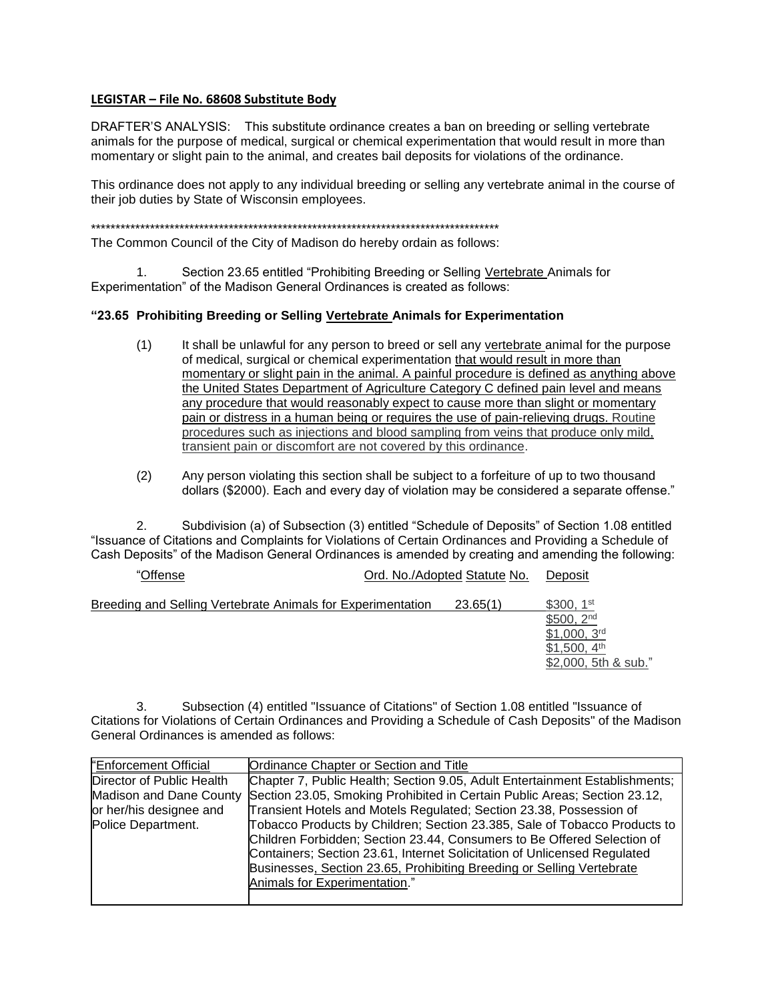## **LEGISTAR – File No. 68608 Substitute Body**

DRAFTER'S ANALYSIS: This substitute ordinance creates a ban on breeding or selling vertebrate animals for the purpose of medical, surgical or chemical experimentation that would result in more than momentary or slight pain to the animal, and creates bail deposits for violations of the ordinance.

This ordinance does not apply to any individual breeding or selling any vertebrate animal in the course of their job duties by State of Wisconsin employees.

\*\*\*\*\*\*\*\*\*\*\*\*\*\*\*\*\*\*\*\*\*\*\*\*\*\*\*\*\*\*\*\*\*\*\*\*\*\*\*\*\*\*\*\*\*\*\*\*\*\*\*\*\*\*\*\*\*\*\*\*\*\*\*\*\*\*\*\*\*\*\*\*\*\*\*\*\*\*\*\*\*\*\*

The Common Council of the City of Madison do hereby ordain as follows:

1. Section 23.65 entitled "Prohibiting Breeding or Selling Vertebrate Animals for Experimentation" of the Madison General Ordinances is created as follows:

## **"23.65 Prohibiting Breeding or Selling Vertebrate Animals for Experimentation**

- (1) It shall be unlawful for any person to breed or sell any vertebrate animal for the purpose of medical, surgical or chemical experimentation that would result in more than momentary or slight pain in the animal. A painful procedure is defined as anything above the United States Department of Agriculture Category C defined pain level and means any procedure that would reasonably expect to cause more than slight or momentary pain or distress in a human being or requires the use of pain-relieving drugs. Routine procedures such as injections and blood sampling from veins that produce only mild, transient pain or discomfort are not covered by this ordinance.
- (2) Any person violating this section shall be subject to a forfeiture of up to two thousand dollars (\$2000). Each and every day of violation may be considered a separate offense."

2. Subdivision (a) of Subsection (3) entitled "Schedule of Deposits" of Section 1.08 entitled "Issuance of Citations and Complaints for Violations of Certain Ordinances and Providing a Schedule of Cash Deposits" of the Madison General Ordinances is amended by creating and amending the following:

| "Offense                                                    | Ord. No./Adopted Statute No. | Deposit                                                                                                                        |
|-------------------------------------------------------------|------------------------------|--------------------------------------------------------------------------------------------------------------------------------|
| Breeding and Selling Vertebrate Animals for Experimentation | 23.65(1)                     | \$300, 1 <sup>st</sup><br>\$500.2 <sup>nd</sup><br>\$1,000,3 <sup>rd</sup><br>\$1,500, 4 <sup>th</sup><br>\$2,000, 5th & sub." |
|                                                             |                              |                                                                                                                                |

3. Subsection (4) entitled "Issuance of Citations" of Section 1.08 entitled "Issuance of Citations for Violations of Certain Ordinances and Providing a Schedule of Cash Deposits" of the Madison General Ordinances is amended as follows:

| "Enforcement Official     | Ordinance Chapter or Section and Title                                                            |
|---------------------------|---------------------------------------------------------------------------------------------------|
| Director of Public Health | Chapter 7, Public Health; Section 9.05, Adult Entertainment Establishments;                       |
|                           | Madison and Dane County Section 23.05, Smoking Prohibited in Certain Public Areas; Section 23.12, |
| or her/his designee and   | Transient Hotels and Motels Regulated; Section 23.38, Possession of                               |
| Police Department.        | Tobacco Products by Children; Section 23.385, Sale of Tobacco Products to                         |
|                           | Children Forbidden; Section 23.44, Consumers to Be Offered Selection of                           |
|                           | Containers; Section 23.61, Internet Solicitation of Unlicensed Regulated                          |
|                           | Businesses, Section 23.65, Prohibiting Breeding or Selling Vertebrate                             |
|                           | Animals for Experimentation."                                                                     |
|                           |                                                                                                   |